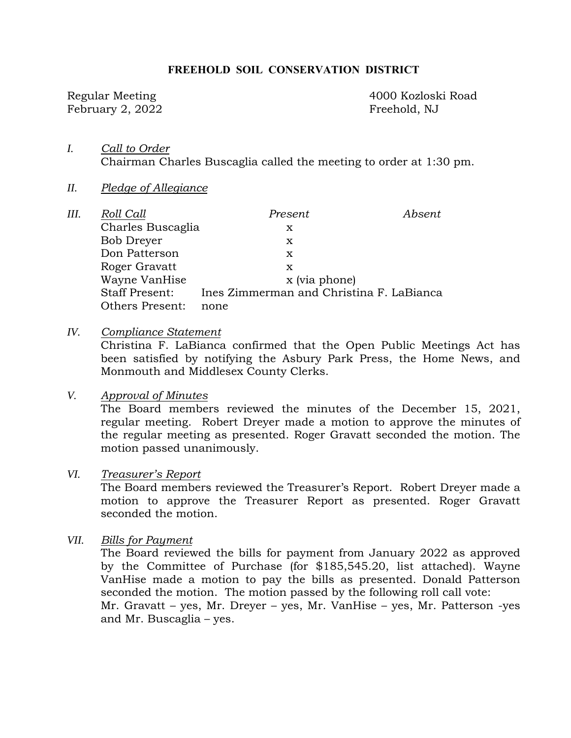#### **FREEHOLD SOIL CONSERVATION DISTRICT**

February 2, 2022 Freehold, NJ

Regular Meeting 4000 Kozloski Road

- *I. Call to Order*  Chairman Charles Buscaglia called the meeting to order at 1:30 pm.
- *II. Pledge of Allegiance*

| III. | Roll Call             | Present                                  | Absent |
|------|-----------------------|------------------------------------------|--------|
|      | Charles Buscaglia     | х                                        |        |
|      | <b>Bob Dreyer</b>     | x                                        |        |
|      | Don Patterson         | x                                        |        |
|      | Roger Gravatt         | x                                        |        |
|      | Wayne VanHise         | x (via phone)                            |        |
|      | <b>Staff Present:</b> | Ines Zimmerman and Christina F. LaBianca |        |
|      | Others Present:       | none                                     |        |

*IV. Compliance Statement* 

Christina F. LaBianca confirmed that the Open Public Meetings Act has been satisfied by notifying the Asbury Park Press, the Home News, and Monmouth and Middlesex County Clerks.

#### *V. Approval of Minutes*

The Board members reviewed the minutes of the December 15, 2021, regular meeting. Robert Dreyer made a motion to approve the minutes of the regular meeting as presented. Roger Gravatt seconded the motion. The motion passed unanimously.

### *VI. Treasurer's Report*

The Board members reviewed the Treasurer's Report. Robert Dreyer made a motion to approve the Treasurer Report as presented. Roger Gravatt seconded the motion.

*VII. Bills for Payment* 

The Board reviewed the bills for payment from January 2022 as approved by the Committee of Purchase (for \$185,545.20, list attached). Wayne VanHise made a motion to pay the bills as presented. Donald Patterson seconded the motion. The motion passed by the following roll call vote: Mr. Gravatt – yes, Mr. Dreyer – yes, Mr. VanHise – yes, Mr. Patterson -yes and Mr. Buscaglia – yes.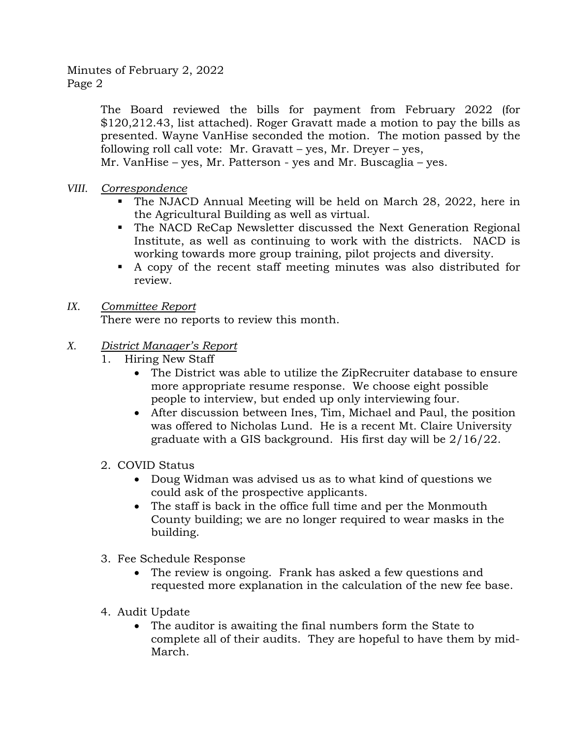### Minutes of February 2, 2022 Page 2

The Board reviewed the bills for payment from February 2022 (for \$120,212.43, list attached). Roger Gravatt made a motion to pay the bills as presented. Wayne VanHise seconded the motion. The motion passed by the following roll call vote:  $Mr.$  Gravatt – yes,  $Mr.$  Dreyer – yes,

Mr. VanHise – yes, Mr. Patterson - yes and Mr. Buscaglia – yes.

- *VIII. Correspondence* 
	- The NJACD Annual Meeting will be held on March 28, 2022, here in the Agricultural Building as well as virtual.
	- The NACD ReCap Newsletter discussed the Next Generation Regional Institute, as well as continuing to work with the districts. NACD is working towards more group training, pilot projects and diversity.
	- A copy of the recent staff meeting minutes was also distributed for review.

## *IX. Committee Report*

There were no reports to review this month.

# *X. District Manager's Report*

- 1. Hiring New Staff
	- The District was able to utilize the ZipRecruiter database to ensure more appropriate resume response. We choose eight possible people to interview, but ended up only interviewing four.
	- After discussion between Ines, Tim, Michael and Paul, the position was offered to Nicholas Lund. He is a recent Mt. Claire University graduate with a GIS background. His first day will be 2/16/22.
- 2. COVID Status
	- Doug Widman was advised us as to what kind of questions we could ask of the prospective applicants.
	- The staff is back in the office full time and per the Monmouth County building; we are no longer required to wear masks in the building.
- 3. Fee Schedule Response
	- The review is ongoing. Frank has asked a few questions and requested more explanation in the calculation of the new fee base.
- 4. Audit Update
	- The auditor is awaiting the final numbers form the State to complete all of their audits. They are hopeful to have them by mid-March.